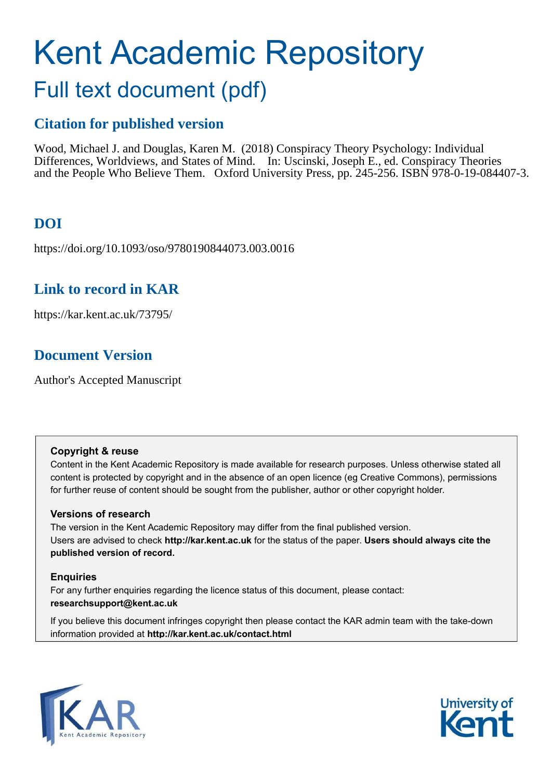# Kent Academic Repository

# Full text document (pdf)

# **Citation for published version**

Wood, Michael J. and Douglas, Karen M. (2018) Conspiracy Theory Psychology: Individual Differences, Worldviews, and States of Mind. In: Uscinski, Joseph E., ed. Conspiracy Theories and the People Who Believe Them. Oxford University Press, pp. 245-256. ISBN 978-0-19-084407-3.

# **DOI**

https://doi.org/10.1093/oso/9780190844073.003.0016

# **Link to record in KAR**

https://kar.kent.ac.uk/73795/

# **Document Version**

Author's Accepted Manuscript

#### **Copyright & reuse**

Content in the Kent Academic Repository is made available for research purposes. Unless otherwise stated all content is protected by copyright and in the absence of an open licence (eg Creative Commons), permissions for further reuse of content should be sought from the publisher, author or other copyright holder.

#### **Versions of research**

The version in the Kent Academic Repository may differ from the final published version. Users are advised to check **http://kar.kent.ac.uk** for the status of the paper. **Users should always cite the published version of record.**

#### **Enquiries**

For any further enquiries regarding the licence status of this document, please contact: **researchsupport@kent.ac.uk**

If you believe this document infringes copyright then please contact the KAR admin team with the take-down information provided at **http://kar.kent.ac.uk/contact.html**



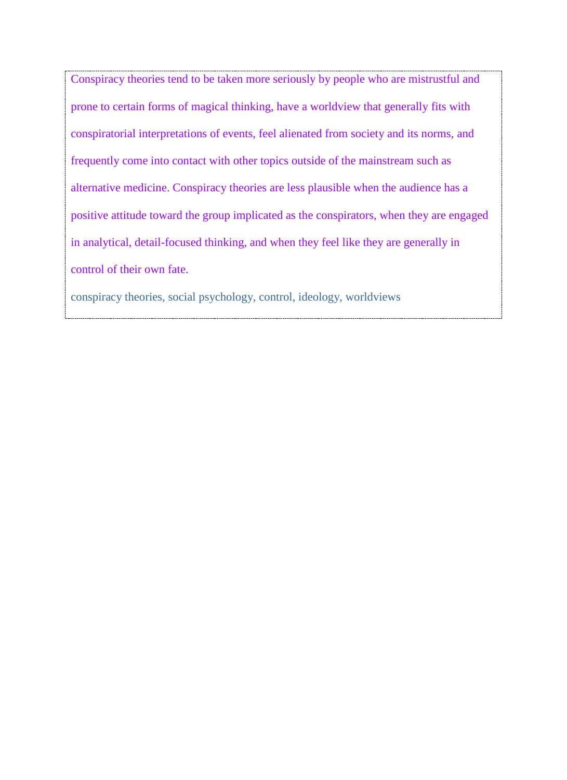Conspiracy theories tend to be taken more seriously by people who are mistrustful and prone to certain forms of magical thinking, have a worldview that generally fits with conspiratorial interpretations of events, feel alienated from society and its norms, and frequently come into contact with other topics outside of the mainstream such as alternative medicine. Conspiracy theories are less plausible when the audience has a positive attitude toward the group implicated as the conspirators, when they are engaged in analytical, detail-focused thinking, and when they feel like they are generally in control of their own fate.

conspiracy theories, social psychology, control, ideology, worldviews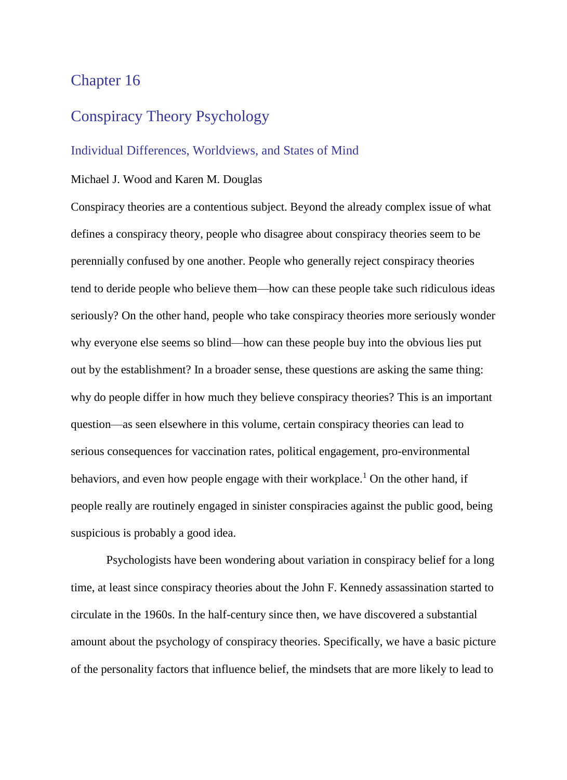## Chapter 16

# Conspiracy Theory Psychology

#### Individual Differences, Worldviews, and States of Mind

#### Michael J. Wood and Karen M. Douglas

Conspiracy theories are a contentious subject. Beyond the already complex issue of what defines a conspiracy theory, people who disagree about conspiracy theories seem to be perennially confused by one another. People who generally reject conspiracy theories tend to deride people who believe them—how can these people take such ridiculous ideas seriously? On the other hand, people who take conspiracy theories more seriously wonder why everyone else seems so blind—how can these people buy into the obvious lies put out by the establishment? In a broader sense, these questions are asking the same thing: why do people differ in how much they believe conspiracy theories? This is an important question—as seen elsewhere in this volume, certain conspiracy theories can lead to serious consequences for vaccination rates, political engagement, pro-environmental behaviors, and even how people engage with their workplace.<sup>1</sup> On the other hand, if people really are routinely engaged in sinister conspiracies against the public good, being suspicious is probably a good idea.

Psychologists have been wondering about variation in conspiracy belief for a long time, at least since conspiracy theories about the John F. Kennedy assassination started to circulate in the 1960s. In the half-century since then, we have discovered a substantial amount about the psychology of conspiracy theories. Specifically, we have a basic picture of the personality factors that influence belief, the mindsets that are more likely to lead to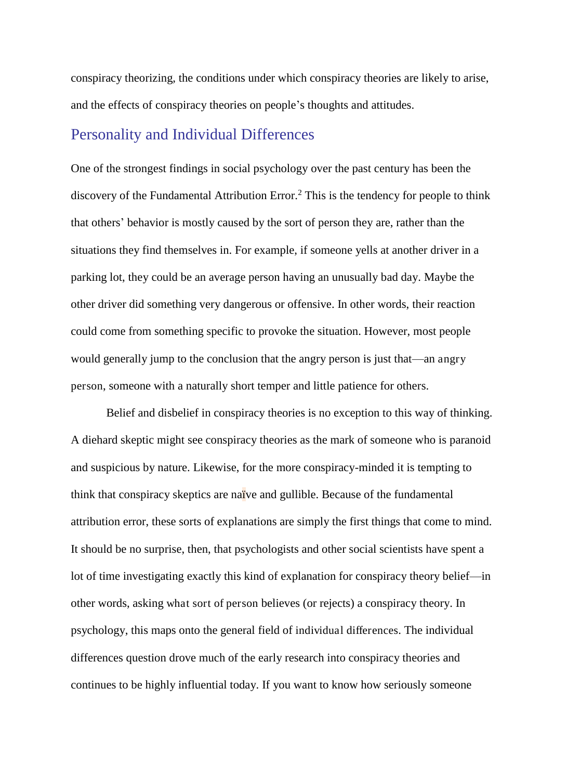conspiracy theorizing, the conditions under which conspiracy theories are likely to arise, and the effects of conspiracy theories on people's thoughts and attitudes.

### Personality and Individual Differences

One of the strongest findings in social psychology over the past century has been the discovery of the Fundamental Attribution Error.<sup>2</sup> This is the tendency for people to think that others' behavior is mostly caused by the sort of person they are, rather than the situations they find themselves in. For example, if someone yells at another driver in a parking lot, they could be an average person having an unusually bad day. Maybe the other driver did something very dangerous or offensive. In other words, their reaction could come from something specific to provoke the situation. However, most people would generally jump to the conclusion that the angry person is just that—an angry person, someone with a naturally short temper and little patience for others.

Belief and disbelief in conspiracy theories is no exception to this way of thinking. A diehard skeptic might see conspiracy theories as the mark of someone who is paranoid and suspicious by nature. Likewise, for the more conspiracy-minded it is tempting to think that conspiracy skeptics are naïve and gullible. Because of the fundamental attribution error, these sorts of explanations are simply the first things that come to mind. It should be no surprise, then, that psychologists and other social scientists have spent a lot of time investigating exactly this kind of explanation for conspiracy theory belief—in other words, asking what sort of person believes (or rejects) a conspiracy theory. In psychology, this maps onto the general field of individual differences. The individual differences question drove much of the early research into conspiracy theories and continues to be highly influential today. If you want to know how seriously someone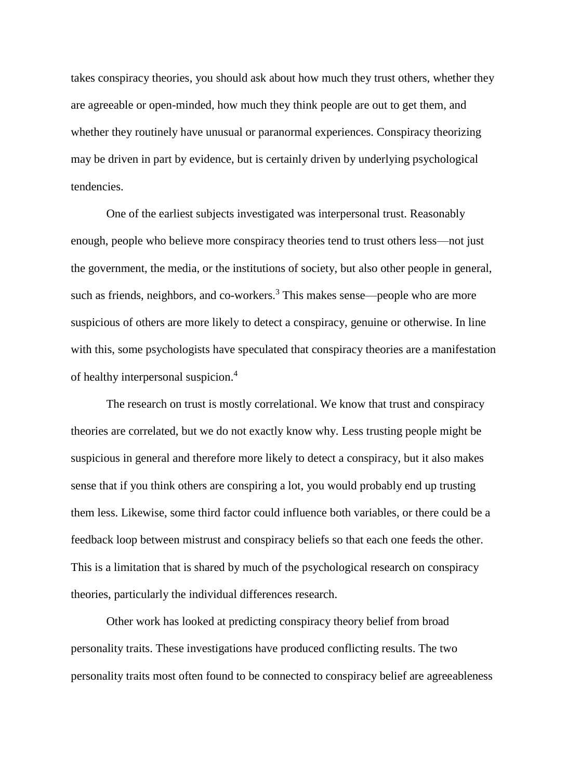takes conspiracy theories, you should ask about how much they trust others, whether they are agreeable or open-minded, how much they think people are out to get them, and whether they routinely have unusual or paranormal experiences. Conspiracy theorizing may be driven in part by evidence, but is certainly driven by underlying psychological tendencies.

One of the earliest subjects investigated was interpersonal trust. Reasonably enough, people who believe more conspiracy theories tend to trust others less—not just the government, the media, or the institutions of society, but also other people in general, such as friends, neighbors, and co-workers.<sup>3</sup> This makes sense—people who are more suspicious of others are more likely to detect a conspiracy, genuine or otherwise. In line with this, some psychologists have speculated that conspiracy theories are a manifestation of healthy interpersonal suspicion.<sup>4</sup>

The research on trust is mostly correlational. We know that trust and conspiracy theories are correlated, but we do not exactly know why. Less trusting people might be suspicious in general and therefore more likely to detect a conspiracy, but it also makes sense that if you think others are conspiring a lot, you would probably end up trusting them less. Likewise, some third factor could influence both variables, or there could be a feedback loop between mistrust and conspiracy beliefs so that each one feeds the other. This is a limitation that is shared by much of the psychological research on conspiracy theories, particularly the individual differences research.

Other work has looked at predicting conspiracy theory belief from broad personality traits. These investigations have produced conflicting results. The two personality traits most often found to be connected to conspiracy belief are agreeableness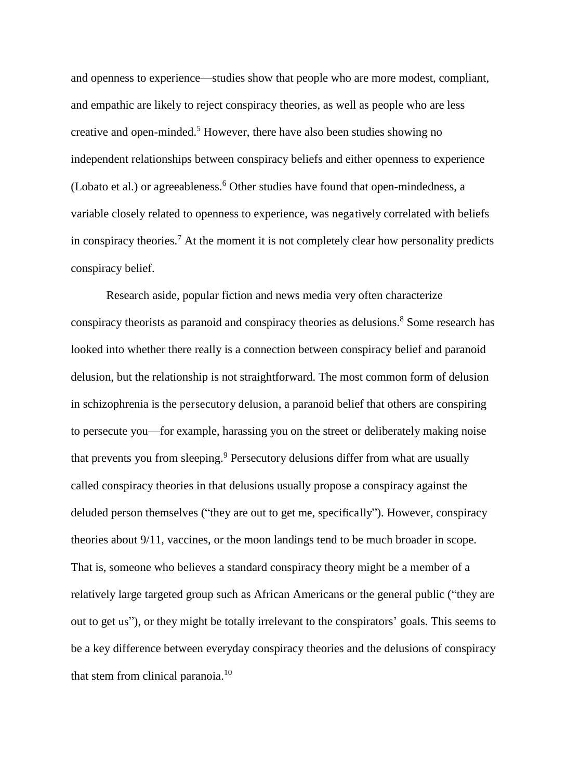and openness to experience—studies show that people who are more modest, compliant, and empathic are likely to reject conspiracy theories, as well as people who are less creative and open-minded.<sup>5</sup> However, there have also been studies showing no independent relationships between conspiracy beliefs and either openness to experience (Lobato et al.) or agreeableness.<sup>6</sup> Other studies have found that open-mindedness, a variable closely related to openness to experience, was negatively correlated with beliefs in conspiracy theories.<sup>7</sup> At the moment it is not completely clear how personality predicts conspiracy belief.

Research aside, popular fiction and news media very often characterize conspiracy theorists as paranoid and conspiracy theories as delusions.<sup>8</sup> Some research has looked into whether there really is a connection between conspiracy belief and paranoid delusion, but the relationship is not straightforward. The most common form of delusion in schizophrenia is the persecutory delusion, a paranoid belief that others are conspiring to persecute you—for example, harassing you on the street or deliberately making noise that prevents you from sleeping.<sup>9</sup> Persecutory delusions differ from what are usually called conspiracy theories in that delusions usually propose a conspiracy against the deluded person themselves ("they are out to get me, specifically"). However, conspiracy theories about 9/11, vaccines, or the moon landings tend to be much broader in scope. That is, someone who believes a standard conspiracy theory might be a member of a relatively large targeted group such as African Americans or the general public ("they are out to get us"), or they might be totally irrelevant to the conspirators' goals. This seems to be a key difference between everyday conspiracy theories and the delusions of conspiracy that stem from clinical paranoia.<sup>10</sup>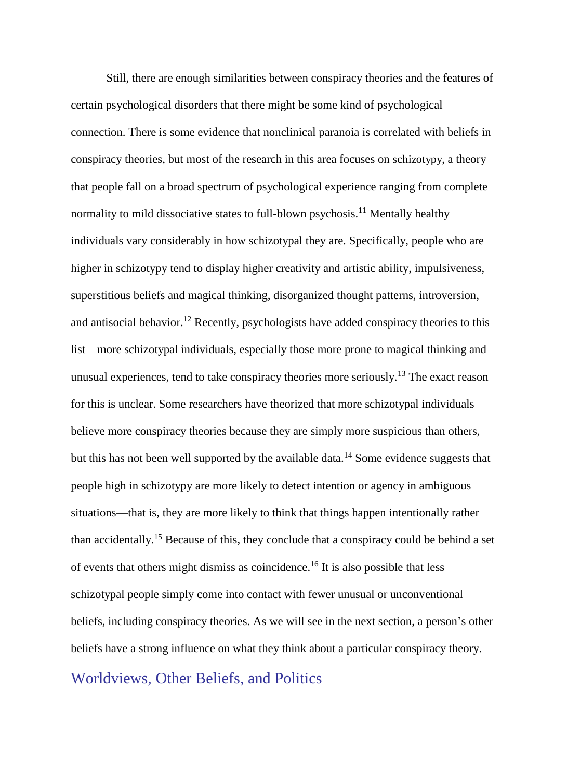Still, there are enough similarities between conspiracy theories and the features of certain psychological disorders that there might be some kind of psychological connection. There is some evidence that nonclinical paranoia is correlated with beliefs in conspiracy theories, but most of the research in this area focuses on schizotypy, a theory that people fall on a broad spectrum of psychological experience ranging from complete normality to mild dissociative states to full-blown psychosis.<sup>11</sup> Mentally healthy individuals vary considerably in how schizotypal they are. Specifically, people who are higher in schizotypy tend to display higher creativity and artistic ability, impulsiveness, superstitious beliefs and magical thinking, disorganized thought patterns, introversion, and antisocial behavior.<sup>12</sup> Recently, psychologists have added conspiracy theories to this list—more schizotypal individuals, especially those more prone to magical thinking and unusual experiences, tend to take conspiracy theories more seriously.<sup>13</sup> The exact reason for this is unclear. Some researchers have theorized that more schizotypal individuals believe more conspiracy theories because they are simply more suspicious than others, but this has not been well supported by the available data.<sup>14</sup> Some evidence suggests that people high in schizotypy are more likely to detect intention or agency in ambiguous situations—that is, they are more likely to think that things happen intentionally rather than accidentally.<sup>15</sup> Because of this, they conclude that a conspiracy could be behind a set of events that others might dismiss as coincidence.<sup>16</sup> It is also possible that less schizotypal people simply come into contact with fewer unusual or unconventional beliefs, including conspiracy theories. As we will see in the next section, a person's other beliefs have a strong influence on what they think about a particular conspiracy theory.

Worldviews, Other Beliefs, and Politics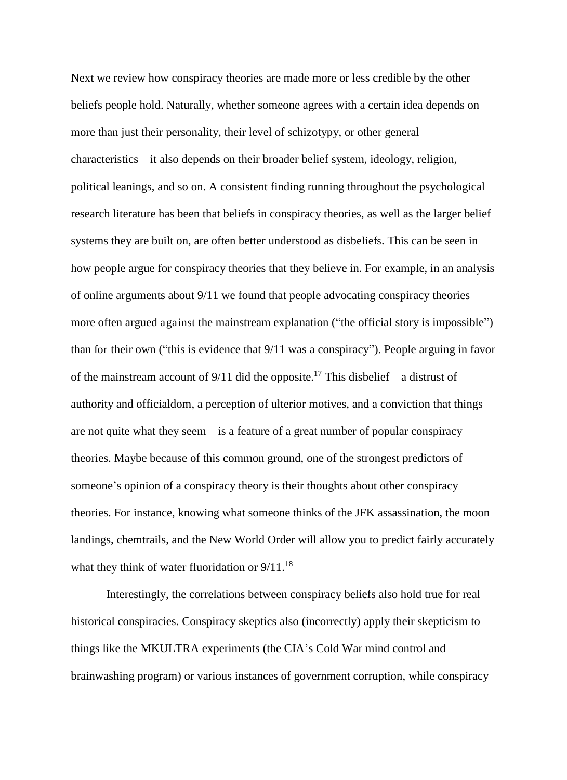Next we review how conspiracy theories are made more or less credible by the other beliefs people hold. Naturally, whether someone agrees with a certain idea depends on more than just their personality, their level of schizotypy, or other general characteristics—it also depends on their broader belief system, ideology, religion, political leanings, and so on. A consistent finding running throughout the psychological research literature has been that beliefs in conspiracy theories, as well as the larger belief systems they are built on, are often better understood as disbeliefs. This can be seen in how people argue for conspiracy theories that they believe in. For example, in an analysis of online arguments about 9/11 we found that people advocating conspiracy theories more often argued against the mainstream explanation ("the official story is impossible") than for their own ("this is evidence that 9/11 was a conspiracy"). People arguing in favor of the mainstream account of 9/11 did the opposite. <sup>17</sup> This disbelief—a distrust of authority and officialdom, a perception of ulterior motives, and a conviction that things are not quite what they seem—is a feature of a great number of popular conspiracy theories. Maybe because of this common ground, one of the strongest predictors of someone's opinion of a conspiracy theory is their thoughts about other conspiracy theories. For instance, knowing what someone thinks of the JFK assassination, the moon landings, chemtrails, and the New World Order will allow you to predict fairly accurately what they think of water fluoridation or  $9/11$ .<sup>18</sup>

Interestingly, the correlations between conspiracy beliefs also hold true for real historical conspiracies. Conspiracy skeptics also (incorrectly) apply their skepticism to things like the MKULTRA experiments (the CIA's Cold War mind control and brainwashing program) or various instances of government corruption, while conspiracy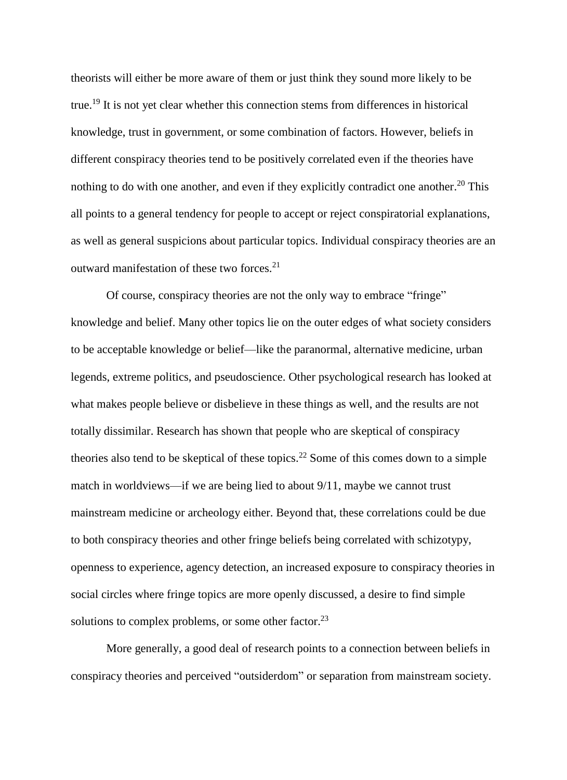theorists will either be more aware of them or just think they sound more likely to be true.<sup>19</sup> It is not yet clear whether this connection stems from differences in historical knowledge, trust in government, or some combination of factors. However, beliefs in different conspiracy theories tend to be positively correlated even if the theories have nothing to do with one another, and even if they explicitly contradict one another.<sup>20</sup> This all points to a general tendency for people to accept or reject conspiratorial explanations, as well as general suspicions about particular topics. Individual conspiracy theories are an outward manifestation of these two forces.<sup>21</sup>

Of course, conspiracy theories are not the only way to embrace "fringe" knowledge and belief. Many other topics lie on the outer edges of what society considers to be acceptable knowledge or belief—like the paranormal, alternative medicine, urban legends, extreme politics, and pseudoscience. Other psychological research has looked at what makes people believe or disbelieve in these things as well, and the results are not totally dissimilar. Research has shown that people who are skeptical of conspiracy theories also tend to be skeptical of these topics.<sup>22</sup> Some of this comes down to a simple match in worldviews—if we are being lied to about 9/11, maybe we cannot trust mainstream medicine or archeology either. Beyond that, these correlations could be due to both conspiracy theories and other fringe beliefs being correlated with schizotypy, openness to experience, agency detection, an increased exposure to conspiracy theories in social circles where fringe topics are more openly discussed, a desire to find simple solutions to complex problems, or some other factor.<sup>23</sup>

More generally, a good deal of research points to a connection between beliefs in conspiracy theories and perceived "outsiderdom" or separation from mainstream society.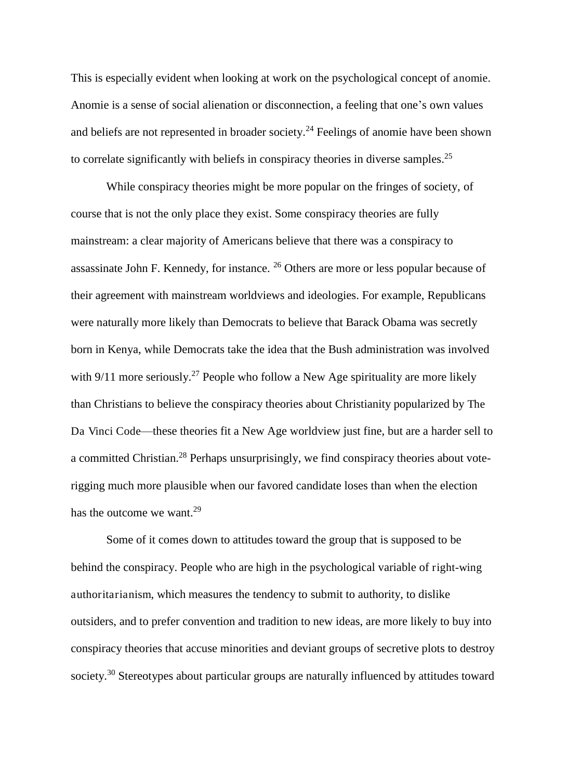This is especially evident when looking at work on the psychological concept of anomie. Anomie is a sense of social alienation or disconnection, a feeling that one's own values and beliefs are not represented in broader society.<sup>24</sup> Feelings of anomie have been shown to correlate significantly with beliefs in conspiracy theories in diverse samples.<sup>25</sup>

While conspiracy theories might be more popular on the fringes of society, of course that is not the only place they exist. Some conspiracy theories are fully mainstream: a clear majority of Americans believe that there was a conspiracy to assassinate John F. Kennedy, for instance. <sup>26</sup> Others are more or less popular because of their agreement with mainstream worldviews and ideologies. For example, Republicans were naturally more likely than Democrats to believe that Barack Obama was secretly born in Kenya, while Democrats take the idea that the Bush administration was involved with  $9/11$  more seriously.<sup>27</sup> People who follow a New Age spirituality are more likely than Christians to believe the conspiracy theories about Christianity popularized by The Da Vinci Code—these theories fit a New Age worldview just fine, but are a harder sell to a committed Christian.<sup>28</sup> Perhaps unsurprisingly, we find conspiracy theories about voterigging much more plausible when our favored candidate loses than when the election has the outcome we want.<sup>29</sup>

Some of it comes down to attitudes toward the group that is supposed to be behind the conspiracy. People who are high in the psychological variable of right-wing authoritarianism, which measures the tendency to submit to authority, to dislike outsiders, and to prefer convention and tradition to new ideas, are more likely to buy into conspiracy theories that accuse minorities and deviant groups of secretive plots to destroy society.<sup>30</sup> Stereotypes about particular groups are naturally influenced by attitudes toward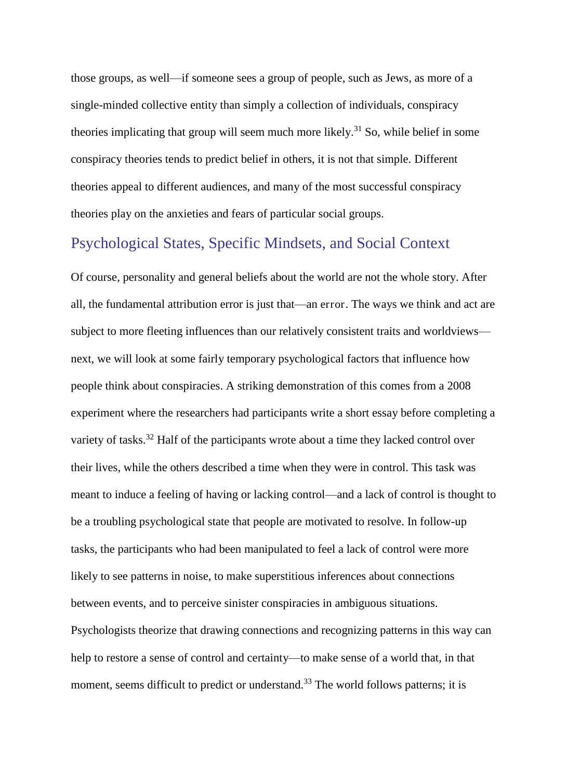those groups, as well—if someone sees a group of people, such as Jews, as more of a single-minded collective entity than simply a collection of individuals, conspiracy theories implicating that group will seem much more likely.<sup>31</sup> So, while belief in some conspiracy theories tends to predict belief in others, it is not that simple. Different theories appeal to different audiences, and many of the most successful conspiracy theories play on the anxieties and fears of particular social groups.

### Psychological States, Specific Mindsets, and Social Context

Of course, personality and general beliefs about the world are not the whole story. After all, the fundamental attribution error is just that—an error. The ways we think and act are subject to more fleeting influences than our relatively consistent traits and worldviews next, we will look at some fairly temporary psychological factors that influence how people think about conspiracies. A striking demonstration of this comes from a 2008 experiment where the researchers had participants write a short essay before completing a variety of tasks.<sup>32</sup> Half of the participants wrote about a time they lacked control over their lives, while the others described a time when they were in control. This task was meant to induce a feeling of having or lacking control—and a lack of control is thought to be a troubling psychological state that people are motivated to resolve. In follow-up tasks, the participants who had been manipulated to feel a lack of control were more likely to see patterns in noise, to make superstitious inferences about connections between events, and to perceive sinister conspiracies in ambiguous situations. Psychologists theorize that drawing connections and recognizing patterns in this way can help to restore a sense of control and certainty—to make sense of a world that, in that moment, seems difficult to predict or understand.<sup>33</sup> The world follows patterns; it is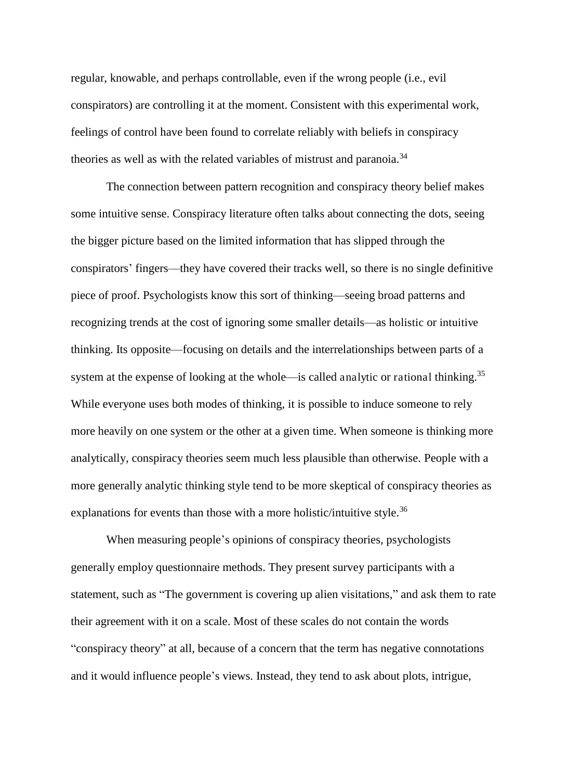regular, knowable, and perhaps controllable, even if the wrong people (i.e., evil conspirators) are controlling it at the moment. Consistent with this experimental work, feelings of control have been found to correlate reliably with beliefs in conspiracy theories as well as with the related variables of mistrust and paranoia.<sup>34</sup>

The connection between pattern recognition and conspiracy theory belief makes some intuitive sense. Conspiracy literature often talks about connecting the dots, seeing the bigger picture based on the limited information that has slipped through the conspirators' fingers—they have covered their tracks well, so there is no single definitive piece of proof. Psychologists know this sort of thinking—seeing broad patterns and recognizing trends at the cost of ignoring some smaller details—as holistic or intuitive thinking. Its opposite—focusing on details and the interrelationships between parts of a system at the expense of looking at the whole—is called analytic or rational thinking.<sup>35</sup> While everyone uses both modes of thinking, it is possible to induce someone to rely more heavily on one system or the other at a given time. When someone is thinking more analytically, conspiracy theories seem much less plausible than otherwise. People with a more generally analytic thinking style tend to be more skeptical of conspiracy theories as explanations for events than those with a more holistic/intuitive style.<sup>36</sup>

When measuring people's opinions of conspiracy theories, psychologists generally employ questionnaire methods. They present survey participants with a statement, such as "The government is covering up alien visitations," and ask them to rate their agreement with it on a scale. Most of these scales do not contain the words "conspiracy theory" at all, because of a concern that the term has negative connotations and it would influence people's views. Instead, they tend to ask about plots, intrigue,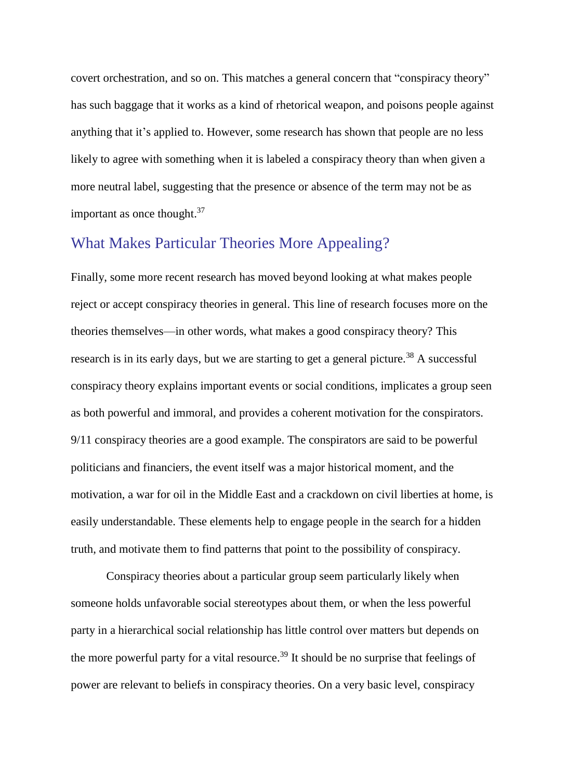covert orchestration, and so on. This matches a general concern that "conspiracy theory" has such baggage that it works as a kind of rhetorical weapon, and poisons people against anything that it's applied to. However, some research has shown that people are no less likely to agree with something when it is labeled a conspiracy theory than when given a more neutral label, suggesting that the presence or absence of the term may not be as important as once thought. $37$ 

### What Makes Particular Theories More Appealing?

Finally, some more recent research has moved beyond looking at what makes people reject or accept conspiracy theories in general. This line of research focuses more on the theories themselves—in other words, what makes a good conspiracy theory? This research is in its early days, but we are starting to get a general picture.<sup>38</sup> A successful conspiracy theory explains important events or social conditions, implicates a group seen as both powerful and immoral, and provides a coherent motivation for the conspirators. 9/11 conspiracy theories are a good example. The conspirators are said to be powerful politicians and financiers, the event itself was a major historical moment, and the motivation, a war for oil in the Middle East and a crackdown on civil liberties at home, is easily understandable. These elements help to engage people in the search for a hidden truth, and motivate them to find patterns that point to the possibility of conspiracy.

Conspiracy theories about a particular group seem particularly likely when someone holds unfavorable social stereotypes about them, or when the less powerful party in a hierarchical social relationship has little control over matters but depends on the more powerful party for a vital resource.<sup>39</sup> It should be no surprise that feelings of power are relevant to beliefs in conspiracy theories. On a very basic level, conspiracy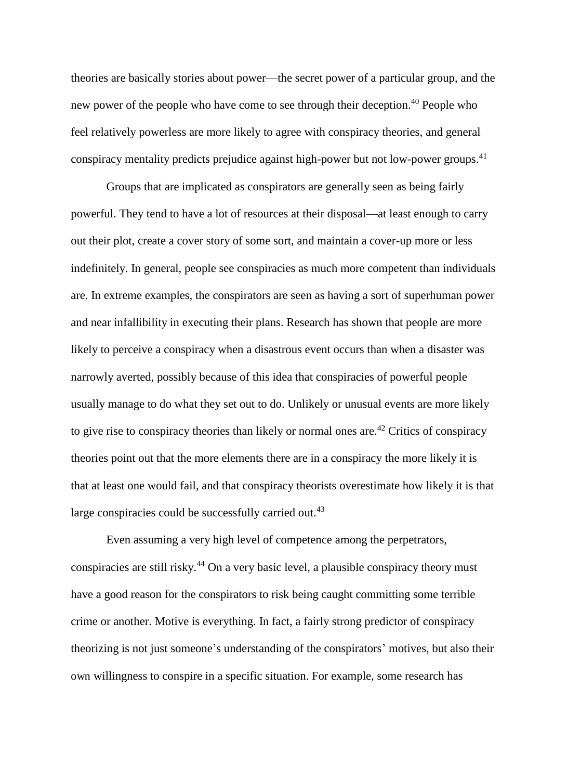theories are basically stories about power—the secret power of a particular group, and the new power of the people who have come to see through their deception.<sup>40</sup> People who feel relatively powerless are more likely to agree with conspiracy theories, and general conspiracy mentality predicts prejudice against high-power but not low-power groups.<sup>41</sup>

Groups that are implicated as conspirators are generally seen as being fairly powerful. They tend to have a lot of resources at their disposal—at least enough to carry out their plot, create a cover story of some sort, and maintain a cover-up more or less indefinitely. In general, people see conspiracies as much more competent than individuals are. In extreme examples, the conspirators are seen as having a sort of superhuman power and near infallibility in executing their plans. Research has shown that people are more likely to perceive a conspiracy when a disastrous event occurs than when a disaster was narrowly averted, possibly because of this idea that conspiracies of powerful people usually manage to do what they set out to do. Unlikely or unusual events are more likely to give rise to conspiracy theories than likely or normal ones are.<sup>42</sup> Critics of conspiracy theories point out that the more elements there are in a conspiracy the more likely it is that at least one would fail, and that conspiracy theorists overestimate how likely it is that large conspiracies could be successfully carried out.<sup>43</sup>

Even assuming a very high level of competence among the perpetrators, conspiracies are still risky.<sup>44</sup> On a very basic level, a plausible conspiracy theory must have a good reason for the conspirators to risk being caught committing some terrible crime or another. Motive is everything. In fact, a fairly strong predictor of conspiracy theorizing is not just someone's understanding of the conspirators' motives, but also their own willingness to conspire in a specific situation. For example, some research has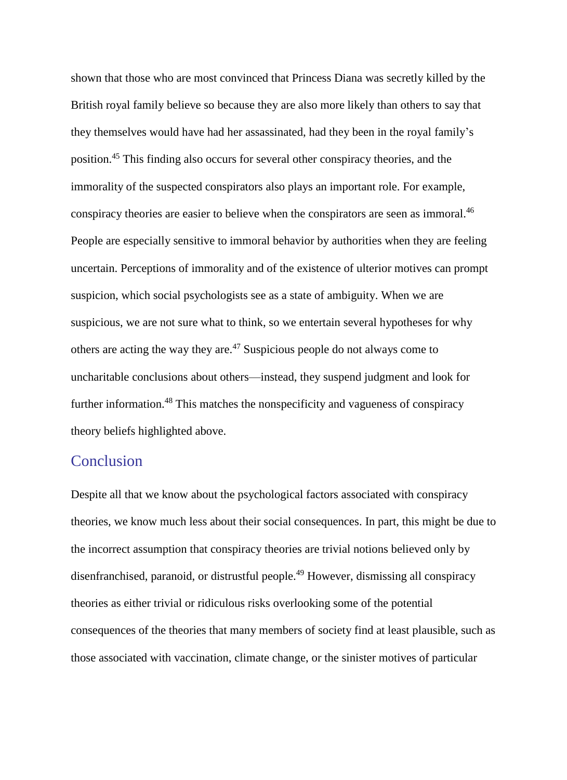shown that those who are most convinced that Princess Diana was secretly killed by the British royal family believe so because they are also more likely than others to say that they themselves would have had her assassinated, had they been in the royal family's position.<sup>45</sup> This finding also occurs for several other conspiracy theories, and the immorality of the suspected conspirators also plays an important role. For example, conspiracy theories are easier to believe when the conspirators are seen as immoral.<sup>46</sup> People are especially sensitive to immoral behavior by authorities when they are feeling uncertain. Perceptions of immorality and of the existence of ulterior motives can prompt suspicion, which social psychologists see as a state of ambiguity. When we are suspicious, we are not sure what to think, so we entertain several hypotheses for why others are acting the way they are.<sup> $47$ </sup> Suspicious people do not always come to uncharitable conclusions about others—instead, they suspend judgment and look for further information.<sup>48</sup> This matches the nonspecificity and vagueness of conspiracy theory beliefs highlighted above.

#### **Conclusion**

Despite all that we know about the psychological factors associated with conspiracy theories, we know much less about their social consequences. In part, this might be due to the incorrect assumption that conspiracy theories are trivial notions believed only by disenfranchised, paranoid, or distrustful people.<sup>49</sup> However, dismissing all conspiracy theories as either trivial or ridiculous risks overlooking some of the potential consequences of the theories that many members of society find at least plausible, such as those associated with vaccination, climate change, or the sinister motives of particular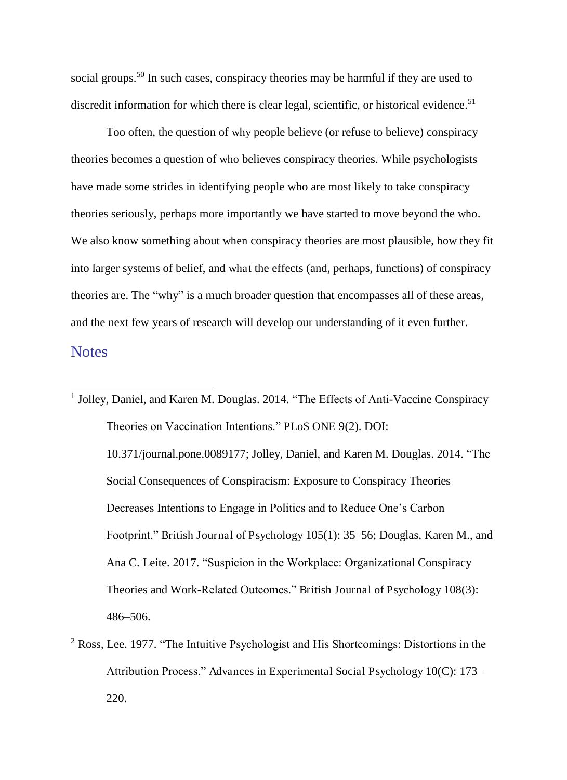social groups.<sup>50</sup> In such cases, conspiracy theories may be harmful if they are used to discredit information for which there is clear legal, scientific, or historical evidence.<sup>51</sup>

Too often, the question of why people believe (or refuse to believe) conspiracy theories becomes a question of who believes conspiracy theories. While psychologists have made some strides in identifying people who are most likely to take conspiracy theories seriously, perhaps more importantly we have started to move beyond the who. We also know something about when conspiracy theories are most plausible, how they fit into larger systems of belief, and what the effects (and, perhaps, functions) of conspiracy theories are. The "why" is a much broader question that encompasses all of these areas, and the next few years of research will develop our understanding of it even further.

#### **Notes**

- <sup>1</sup> Jolley, Daniel, and Karen M. Douglas. 2014. "The Effects of Anti-Vaccine Conspiracy Theories on Vaccination Intentions." PLoS ONE 9(2). DOI: 10.371/journal.pone.0089177; Jolley, Daniel, and Karen M. Douglas. 2014. "The Social Consequences of Conspiracism: Exposure to Conspiracy Theories Decreases Intentions to Engage in Politics and to Reduce One's Carbon Footprint." British Journal of Psychology 105(1): 35–56; Douglas, Karen M., and Ana C. Leite. 2017. "Suspicion in the Workplace: Organizational Conspiracy Theories and Work-Related Outcomes." British Journal of Psychology 108(3): 486–506.
- $2$  Ross, Lee. 1977. "The Intuitive Psychologist and His Shortcomings: Distortions in the Attribution Process." Advances in Experimental Social Psychology 10(C): 173– 220.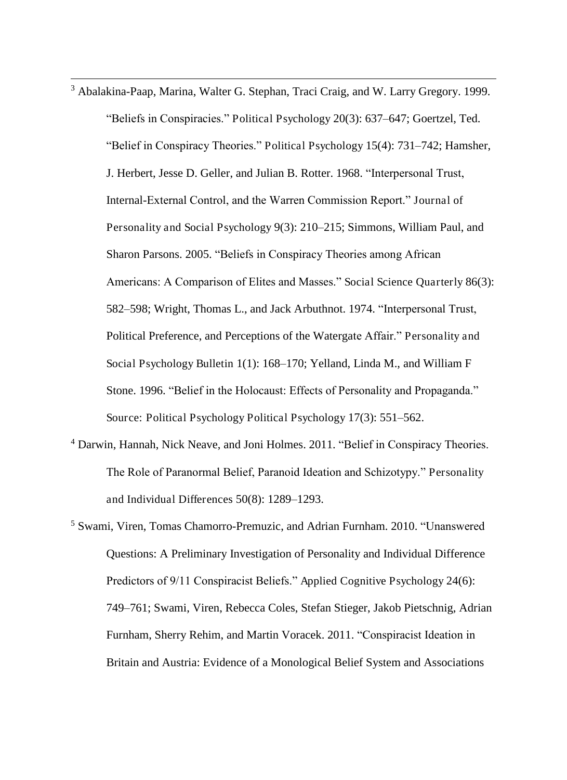<sup>3</sup> Abalakina-Paap, Marina, Walter G. Stephan, Traci Craig, and W. Larry Gregory. 1999. "Beliefs in Conspiracies." Political Psychology 20(3): 637–647; Goertzel, Ted. "Belief in Conspiracy Theories." Political Psychology 15(4): 731–742; Hamsher, J. Herbert, Jesse D. Geller, and Julian B. Rotter. 1968. "Interpersonal Trust, Internal-External Control, and the Warren Commission Report." Journal of Personality and Social Psychology 9(3): 210–215; Simmons, William Paul, and Sharon Parsons. 2005. "Beliefs in Conspiracy Theories among African Americans: A Comparison of Elites and Masses." Social Science Quarterly 86(3): 582–598; Wright, Thomas L., and Jack Arbuthnot. 1974. "Interpersonal Trust, Political Preference, and Perceptions of the Watergate Affair." Personality and Social Psychology Bulletin 1(1): 168–170; Yelland, Linda M., and William F Stone. 1996. "Belief in the Holocaust: Effects of Personality and Propaganda." Source: Political Psychology Political Psychology 17(3): 551–562.

- <sup>4</sup> Darwin, Hannah, Nick Neave, and Joni Holmes. 2011. "Belief in Conspiracy Theories. The Role of Paranormal Belief, Paranoid Ideation and Schizotypy." Personality and Individual Differences 50(8): 1289–1293.
- 5 Swami, Viren, Tomas Chamorro-Premuzic, and Adrian Furnham. 2010. "Unanswered Questions: A Preliminary Investigation of Personality and Individual Difference Predictors of 9/11 Conspiracist Beliefs." Applied Cognitive Psychology 24(6): 749–761; Swami, Viren, Rebecca Coles, Stefan Stieger, Jakob Pietschnig, Adrian Furnham, Sherry Rehim, and Martin Voracek. 2011. "Conspiracist Ideation in Britain and Austria: Evidence of a Monological Belief System and Associations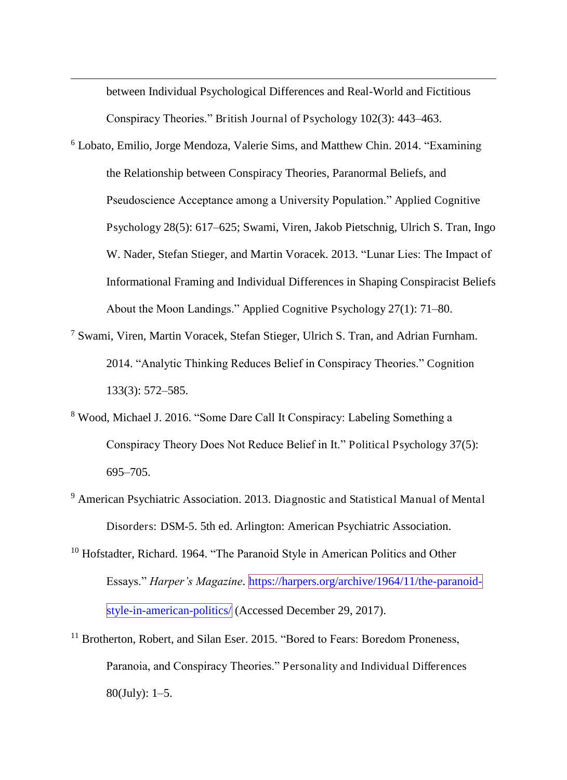between Individual Psychological Differences and Real-World and Fictitious Conspiracy Theories." British Journal of Psychology 102(3): 443–463.

- <sup>6</sup> Lobato, Emilio, Jorge Mendoza, Valerie Sims, and Matthew Chin. 2014. "Examining the Relationship between Conspiracy Theories, Paranormal Beliefs, and Pseudoscience Acceptance among a University Population." Applied Cognitive Psychology 28(5): 617–625; Swami, Viren, Jakob Pietschnig, Ulrich S. Tran, Ingo W. Nader, Stefan Stieger, and Martin Voracek. 2013. "Lunar Lies: The Impact of Informational Framing and Individual Differences in Shaping Conspiracist Beliefs About the Moon Landings." Applied Cognitive Psychology 27(1): 71–80.
- <sup>7</sup> Swami, Viren, Martin Voracek, Stefan Stieger, Ulrich S. Tran, and Adrian Furnham. 2014. "Analytic Thinking Reduces Belief in Conspiracy Theories." Cognition 133(3): 572–585.
- <sup>8</sup> Wood, Michael J. 2016. "Some Dare Call It Conspiracy: Labeling Something a Conspiracy Theory Does Not Reduce Belief in It." Political Psychology 37(5): 695–705.
- <sup>9</sup> American Psychiatric Association. 2013. Diagnostic and Statistical Manual of Mental Disorders: DSM-5. 5th ed. Arlington: American Psychiatric Association.
- <sup>10</sup> Hofstadter, Richard. 1964. "The Paranoid Style in American Politics and Other Essays." *Harper's Magazine*. https://harpers.org/archive/1964/11/the-paranoidstyle-in-american-politics/ (Accessed December 29, 2017).
- <sup>11</sup> Brotherton, Robert, and Silan Eser. 2015. "Bored to Fears: Boredom Proneness, Paranoia, and Conspiracy Theories." Personality and Individual Differences 80(July): 1–5.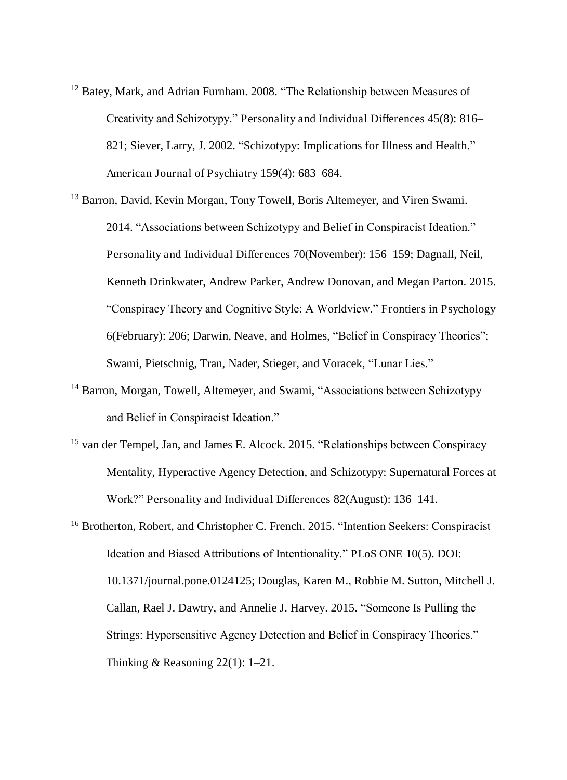<sup>12</sup> Batey, Mark, and Adrian Furnham. 2008. "The Relationship between Measures of Creativity and Schizotypy." Personality and Individual Differences 45(8): 816– 821; Siever, Larry, J. 2002. "Schizotypy: Implications for Illness and Health." American Journal of Psychiatry 159(4): 683–684.

- <sup>13</sup> Barron, David, Kevin Morgan, Tony Towell, Boris Altemeyer, and Viren Swami. 2014. "Associations between Schizotypy and Belief in Conspiracist Ideation." Personality and Individual Differences 70(November): 156–159; Dagnall, Neil, Kenneth Drinkwater, Andrew Parker, Andrew Donovan, and Megan Parton. 2015. "Conspiracy Theory and Cognitive Style: A Worldview." Frontiers in Psychology 6(February): 206; Darwin, Neave, and Holmes, "Belief in Conspiracy Theories"; Swami, Pietschnig, Tran, Nader, Stieger, and Voracek, "Lunar Lies."
- <sup>14</sup> Barron, Morgan, Towell, Altemeyer, and Swami, "Associations between Schizotypy and Belief in Conspiracist Ideation."
- <sup>15</sup> van der Tempel, Jan, and James E. Alcock. 2015. "Relationships between Conspiracy Mentality, Hyperactive Agency Detection, and Schizotypy: Supernatural Forces at Work?" Personality and Individual Differences 82(August): 136–141.
- <sup>16</sup> Brotherton, Robert, and Christopher C. French. 2015. "Intention Seekers: Conspiracist Ideation and Biased Attributions of Intentionality." PLoS ONE 10(5). DOI: 10.1371/journal.pone.0124125; Douglas, Karen M., Robbie M. Sutton, Mitchell J. Callan, Rael J. Dawtry, and Annelie J. Harvey. 2015. "Someone Is Pulling the Strings: Hypersensitive Agency Detection and Belief in Conspiracy Theories." Thinking & Reasoning 22(1): 1–21.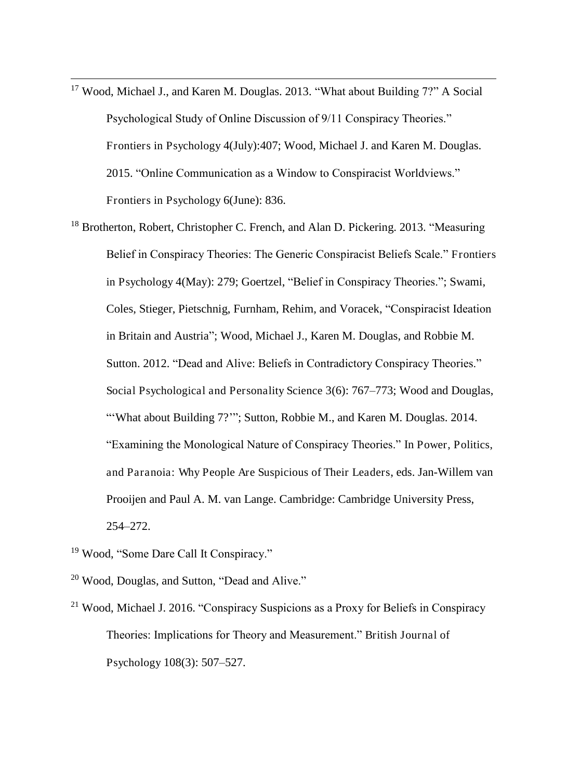- <sup>17</sup> Wood, Michael J., and Karen M. Douglas. 2013. "What about Building 7?" A Social Psychological Study of Online Discussion of 9/11 Conspiracy Theories." Frontiers in Psychology 4(July):407; Wood, Michael J. and Karen M. Douglas. 2015. "Online Communication as a Window to Conspiracist Worldviews." Frontiers in Psychology 6(June): 836.
- <sup>18</sup> Brotherton, Robert, Christopher C. French, and Alan D. Pickering. 2013. "Measuring Belief in Conspiracy Theories: The Generic Conspiracist Beliefs Scale." Frontiers in Psychology 4(May): 279; Goertzel, "Belief in Conspiracy Theories."; Swami, Coles, Stieger, Pietschnig, Furnham, Rehim, and Voracek, "Conspiracist Ideation in Britain and Austria"; Wood, Michael J., Karen M. Douglas, and Robbie M. Sutton. 2012. "Dead and Alive: Beliefs in Contradictory Conspiracy Theories." Social Psychological and Personality Science 3(6): 767–773; Wood and Douglas, "What about Building 7?""; Sutton, Robbie M., and Karen M. Douglas. 2014. "Examining the Monological Nature of Conspiracy Theories." In Power, Politics, and Paranoia: Why People Are Suspicious of Their Leaders, eds. Jan-Willem van Prooijen and Paul A. M. van Lange. Cambridge: Cambridge University Press, 254–272.
- <sup>19</sup> Wood, "Some Dare Call It Conspiracy."

- <sup>20</sup> Wood, Douglas, and Sutton, "Dead and Alive."
- <sup>21</sup> Wood, Michael J. 2016. "Conspiracy Suspicions as a Proxy for Beliefs in Conspiracy Theories: Implications for Theory and Measurement." British Journal of Psychology 108(3): 507–527.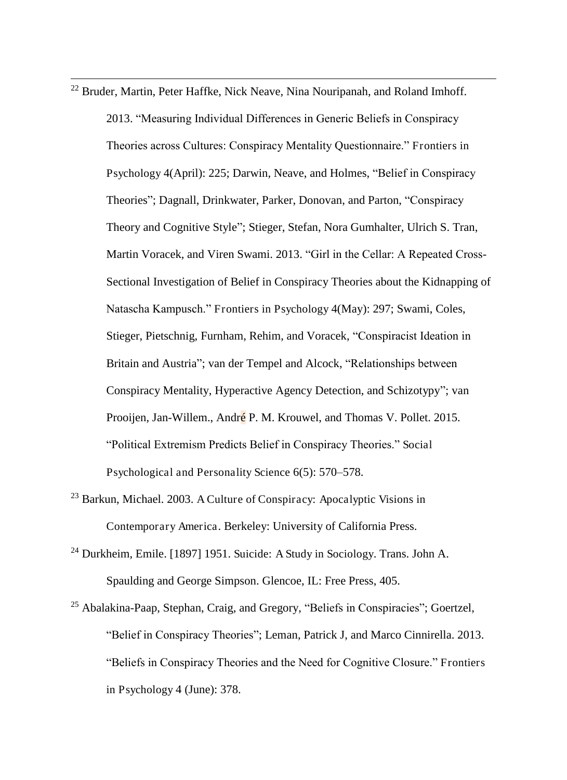- $\overline{a}$  $22$  Bruder, Martin, Peter Haffke, Nick Neave, Nina Nouripanah, and Roland Imhoff. 2013. "Measuring Individual Differences in Generic Beliefs in Conspiracy Theories across Cultures: Conspiracy Mentality Questionnaire." Frontiers in Psychology 4(April): 225; Darwin, Neave, and Holmes, "Belief in Conspiracy Theories"; Dagnall, Drinkwater, Parker, Donovan, and Parton, "Conspiracy Theory and Cognitive Style"; Stieger, Stefan, Nora Gumhalter, Ulrich S. Tran, Martin Voracek, and Viren Swami. 2013. "Girl in the Cellar: A Repeated Cross-Sectional Investigation of Belief in Conspiracy Theories about the Kidnapping of Natascha Kampusch." Frontiers in Psychology 4(May): 297; Swami, Coles, Stieger, Pietschnig, Furnham, Rehim, and Voracek, "Conspiracist Ideation in Britain and Austria"; van der Tempel and Alcock, "Relationships between Conspiracy Mentality, Hyperactive Agency Detection, and Schizotypy"; van Prooijen, Jan-Willem., André P. M. Krouwel, and Thomas V. Pollet. 2015. "Political Extremism Predicts Belief in Conspiracy Theories." Social Psychological and Personality Science 6(5): 570–578.
- <sup>23</sup> Barkun, Michael. 2003. A Culture of Conspiracy: Apocalyptic Visions in Contemporary America. Berkeley: University of California Press.
- <sup>24</sup> Durkheim, Emile. [1897] 1951. Suicide: A Study in Sociology. Trans. John A. Spaulding and George Simpson. Glencoe, IL: Free Press, 405.
- <sup>25</sup> Abalakina-Paap, Stephan, Craig, and Gregory, "Beliefs in Conspiracies"; Goertzel, "Belief in Conspiracy Theories"; Leman, Patrick J, and Marco Cinnirella. 2013. "Beliefs in Conspiracy Theories and the Need for Cognitive Closure." Frontiers in Psychology 4 (June): 378.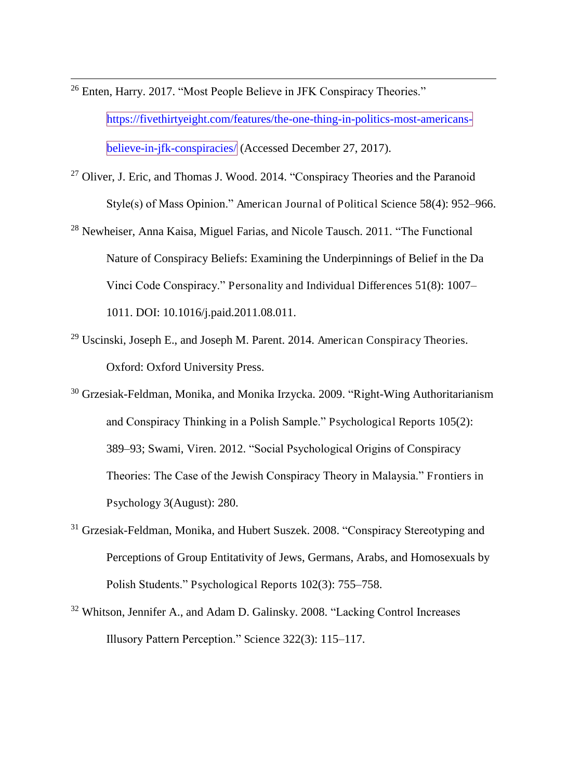<sup>26</sup> Enten, Harry. 2017. "Most People Believe in JFK Conspiracy Theories."

 $\overline{a}$ 

https://fivethirtyeight.com/features/the-one-thing-in-politics-most-americansbelieve-in-jfk-conspiracies/ (Accessed December 27, 2017).

- <sup>27</sup> Oliver, J. Eric, and Thomas J. Wood. 2014. "Conspiracy Theories and the Paranoid Style(s) of Mass Opinion." American Journal of Political Science 58(4): 952–966.
- <sup>28</sup> Newheiser, Anna Kaisa, Miguel Farias, and Nicole Tausch. 2011. "The Functional Nature of Conspiracy Beliefs: Examining the Underpinnings of Belief in the Da Vinci Code Conspiracy." Personality and Individual Differences 51(8): 1007– 1011. DOI: 10.1016/j.paid.2011.08.011.
- $29$  Uscinski, Joseph E., and Joseph M. Parent. 2014. American Conspiracy Theories. Oxford: Oxford University Press.
- <sup>30</sup> Grzesiak-Feldman, Monika, and Monika Irzycka. 2009. "Right-Wing Authoritarianism and Conspiracy Thinking in a Polish Sample." Psychological Reports 105(2): 389–93; Swami, Viren. 2012. "Social Psychological Origins of Conspiracy Theories: The Case of the Jewish Conspiracy Theory in Malaysia." Frontiers in Psychology 3(August): 280.
- <sup>31</sup> Grzesiak-Feldman, Monika, and Hubert Suszek. 2008. "Conspiracy Stereotyping and Perceptions of Group Entitativity of Jews, Germans, Arabs, and Homosexuals by Polish Students." Psychological Reports 102(3): 755–758.
- <sup>32</sup> Whitson, Jennifer A., and Adam D. Galinsky. 2008. "Lacking Control Increases Illusory Pattern Perception." Science 322(3): 115–117.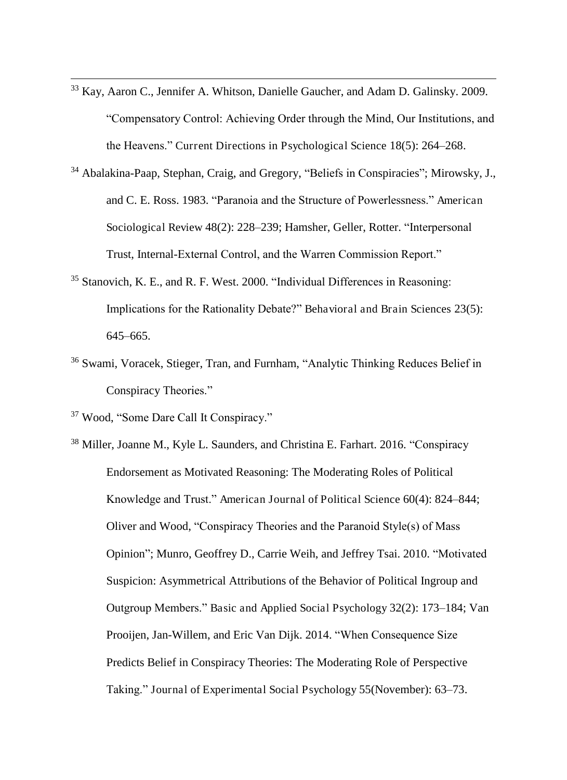- <sup>33</sup> Kay, Aaron C., Jennifer A. Whitson, Danielle Gaucher, and Adam D. Galinsky. 2009. "Compensatory Control: Achieving Order through the Mind, Our Institutions, and the Heavens." Current Directions in Psychological Science 18(5): 264–268.
- <sup>34</sup> Abalakina-Paap, Stephan, Craig, and Gregory, "Beliefs in Conspiracies"; Mirowsky, J., and C. E. Ross. 1983. "Paranoia and the Structure of Powerlessness." American Sociological Review 48(2): 228–239; Hamsher, Geller, Rotter. "Interpersonal Trust, Internal-External Control, and the Warren Commission Report."
- <sup>35</sup> Stanovich, K. E., and R. F. West. 2000. "Individual Differences in Reasoning: Implications for the Rationality Debate?" Behavioral and Brain Sciences 23(5): 645–665.
- <sup>36</sup> Swami, Voracek, Stieger, Tran, and Furnham, "Analytic Thinking Reduces Belief in Conspiracy Theories."
- <sup>37</sup> Wood, "Some Dare Call It Conspiracy."

 $\overline{a}$ 

<sup>38</sup> Miller, Joanne M., Kyle L. Saunders, and Christina E. Farhart. 2016. "Conspiracy Endorsement as Motivated Reasoning: The Moderating Roles of Political Knowledge and Trust." American Journal of Political Science 60(4): 824–844; Oliver and Wood, "Conspiracy Theories and the Paranoid Style(s) of Mass Opinion"; Munro, Geoffrey D., Carrie Weih, and Jeffrey Tsai. 2010. "Motivated Suspicion: Asymmetrical Attributions of the Behavior of Political Ingroup and Outgroup Members." Basic and Applied Social Psychology 32(2): 173–184; Van Prooijen, Jan-Willem, and Eric Van Dijk. 2014. "When Consequence Size Predicts Belief in Conspiracy Theories: The Moderating Role of Perspective Taking." Journal of Experimental Social Psychology 55(November): 63–73.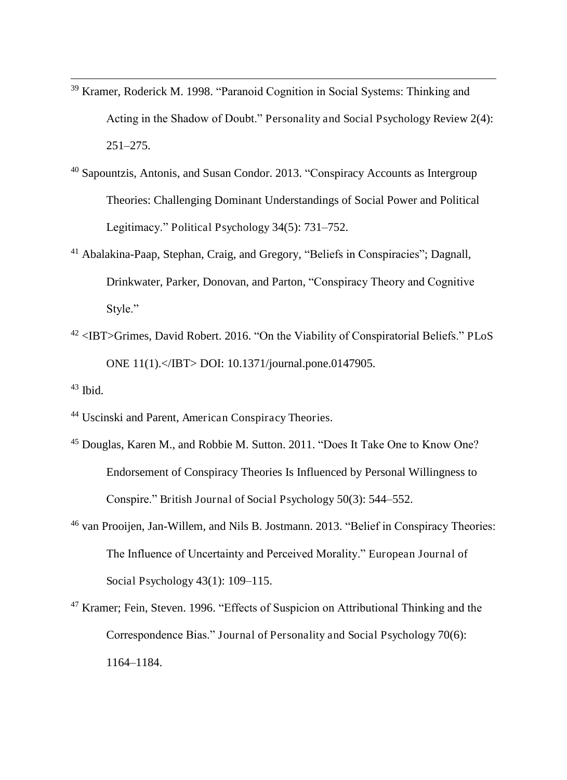- <sup>39</sup> Kramer, Roderick M. 1998. "Paranoid Cognition in Social Systems: Thinking and Acting in the Shadow of Doubt." Personality and Social Psychology Review 2(4): 251–275.
- <sup>40</sup> Sapountzis, Antonis, and Susan Condor. 2013. "Conspiracy Accounts as Intergroup Theories: Challenging Dominant Understandings of Social Power and Political Legitimacy." Political Psychology 34(5): 731–752.
- <sup>41</sup> Abalakina-Paap, Stephan, Craig, and Gregory, "Beliefs in Conspiracies"; Dagnall, Drinkwater, Parker, Donovan, and Parton, "Conspiracy Theory and Cognitive Style."
- <sup>42</sup> <IBT>Grimes, David Robert. 2016. "On the Viability of Conspiratorial Beliefs." PLoS ONE 11(1).</IBT> DOI: 10.1371/journal.pone.0147905.
- $43$  Ibid.

- <sup>44</sup> Uscinski and Parent, American Conspiracy Theories.
- <sup>45</sup> Douglas, Karen M., and Robbie M. Sutton. 2011. "Does It Take One to Know One? Endorsement of Conspiracy Theories Is Influenced by Personal Willingness to Conspire." British Journal of Social Psychology 50(3): 544–552.
- <sup>46</sup> van Prooijen, Jan-Willem, and Nils B. Jostmann, 2013. "Belief in Conspiracy Theories: The Influence of Uncertainty and Perceived Morality." European Journal of Social Psychology 43(1): 109–115.
- <sup>47</sup> Kramer; Fein, Steven. 1996. "Effects of Suspicion on Attributional Thinking and the Correspondence Bias." Journal of Personality and Social Psychology 70(6): 1164–1184.